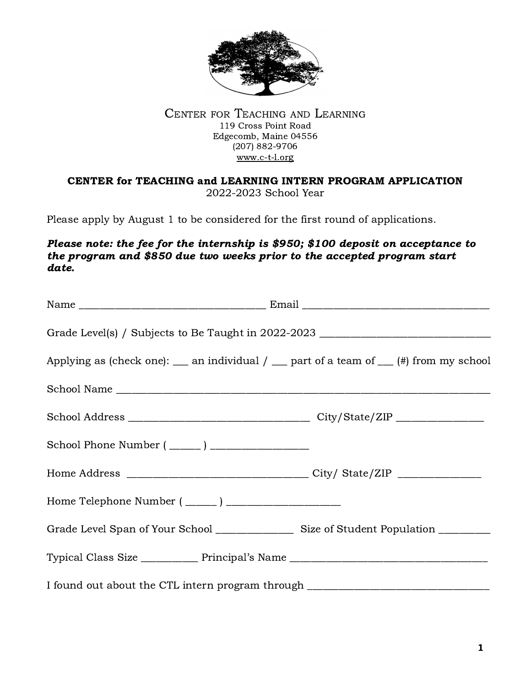

#### CENTER FOR TEACHING AND LEARNING 119 Cross Point Road Edgecomb, Maine 04556 (207) 882-9706 [www.c-t-l.or](http://www.c-t-l.org)g

### CENTER for TEACHING and LEARNING INTERN PROGRAM APPLICATION 2022-2023 School Year

Please apply by August 1 to be considered for the first round of applications.

### Please note: the fee for the internship is \$950; \$100 deposit on acceptance to the program and \$850 due two weeks prior to the accepted program start date.

| Grade Level(s) / Subjects to Be Taught in 2022-2023 ____________________________                   |  |
|----------------------------------------------------------------------------------------------------|--|
| Applying as (check one): $\_\_$ an individual / $\_\_$ part of a team of $\_\_$ (#) from my school |  |
| School Name                                                                                        |  |
|                                                                                                    |  |
|                                                                                                    |  |
|                                                                                                    |  |
|                                                                                                    |  |
|                                                                                                    |  |
| Typical Class Size ____________ Principal's Name _______________________________                   |  |
| I found out about the CTL intern program through _______________________________                   |  |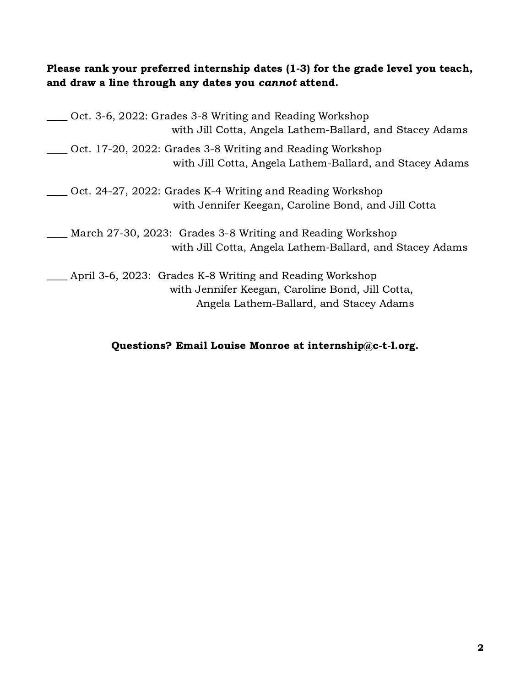## Please rank your preferred internship dates (1-3) for the grade level you teach, and draw a line through any dates you cannot attend.

| Oct. 3-6, 2022: Grades 3-8 Writing and Reading Workshop<br>with Jill Cotta, Angela Lathem-Ballard, and Stacey Adams                                     |
|---------------------------------------------------------------------------------------------------------------------------------------------------------|
| Oct. 17-20, 2022: Grades 3-8 Writing and Reading Workshop<br>with Jill Cotta, Angela Lathem-Ballard, and Stacey Adams                                   |
| Oct. 24-27, 2022: Grades K-4 Writing and Reading Workshop<br>with Jennifer Keegan, Caroline Bond, and Jill Cotta                                        |
| March 27-30, 2023: Grades 3-8 Writing and Reading Workshop<br>with Jill Cotta, Angela Lathem-Ballard, and Stacey Adams                                  |
| April 3-6, 2023: Grades K-8 Writing and Reading Workshop<br>with Jennifer Keegan, Caroline Bond, Jill Cotta,<br>Angela Lathem-Ballard, and Stacey Adams |

# Questions? Email Louise Monroe at internship@c-t-l.org.